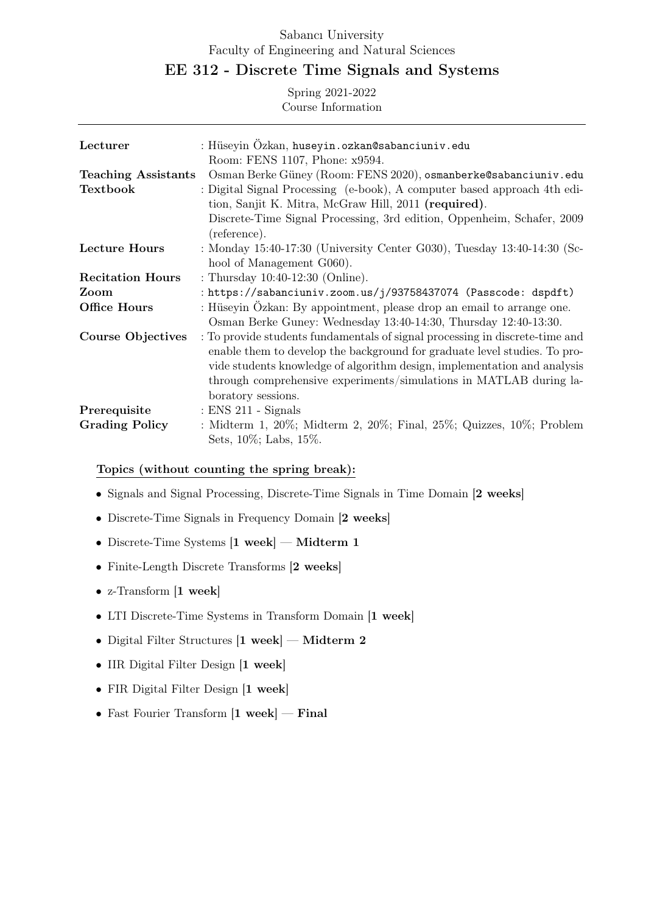# Sabancı University Faculty of Engineering and Natural Sciences

# EE 312 - Discrete Time Signals and Systems

Spring 2021-2022 Course Information

| Lecturer                   | : Hüseyin Özkan, huseyin.ozkan@sabanciuniv.edu                               |
|----------------------------|------------------------------------------------------------------------------|
|                            | Room: FENS 1107, Phone: x9594.                                               |
| <b>Teaching Assistants</b> | Osman Berke Güney (Room: FENS 2020), osmanberke@sabanciuniv.edu              |
| <b>Textbook</b>            | : Digital Signal Processing (e-book), A computer based approach 4th edi-     |
|                            | tion, Sanjit K. Mitra, McGraw Hill, 2011 (required).                         |
|                            | Discrete-Time Signal Processing, 3rd edition, Oppenheim, Schafer, 2009       |
|                            | (reference).                                                                 |
| <b>Lecture Hours</b>       | : Monday 15:40-17:30 (University Center G030), Tuesday 13:40-14:30 (Sc-      |
|                            | hool of Management G060).                                                    |
| <b>Recitation Hours</b>    | : Thursday 10:40-12:30 (Online).                                             |
| Zoom                       | : https://sabanciuniv.zoom.us/j/93758437074 (Passcode: dspdft)               |
| Office Hours               | : Hüseyin Özkan: By appointment, please drop an email to arrange one.        |
|                            | Osman Berke Guney: Wednesday 13:40-14:30, Thursday 12:40-13:30.              |
| <b>Course Objectives</b>   | : To provide students fundamentals of signal processing in discrete-time and |
|                            | enable them to develop the background for graduate level studies. To pro-    |
|                            | vide students knowledge of algorithm design, implementation and analysis     |
|                            | through comprehensive experiments/simulations in MATLAB during la-           |
|                            | boratory sessions.                                                           |
| Prerequisite               | $:$ ENS 211 - Signals                                                        |
| <b>Grading Policy</b>      | : Midterm 1, 20%; Midterm 2, 20%; Final, 25%; Quizzes, 10%; Problem          |
|                            | Sets, 10\%; Labs, 15\%.                                                      |

## Topics (without counting the spring break):

- Signals and Signal Processing, Discrete-Time Signals in Time Domain [2 weeks]
- Discrete-Time Signals in Frequency Domain [2 weeks]
- Discrete-Time Systems [1 week] Midterm 1
- Finite-Length Discrete Transforms [2 weeks]
- z-Transform [1 week]
- LTI Discrete-Time Systems in Transform Domain [1 week]
- Digital Filter Structures [1 week] Midterm 2
- IIR Digital Filter Design [1 week]
- FIR Digital Filter Design [1 week]
- Fast Fourier Transform [1 week] Final